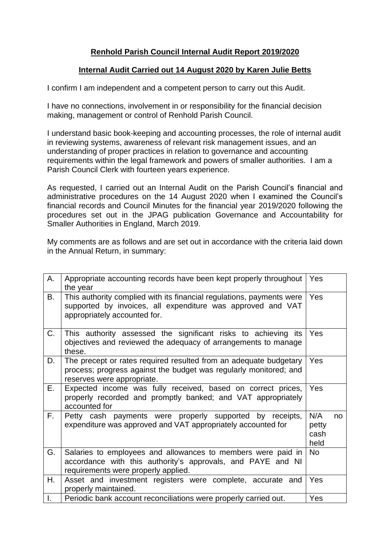## **Renhold Parish Council Internal Audit Report 2019/2020**

## **Internal Audit Carried out 14 August 2020 by Karen Julie Betts**

I confirm I am independent and a competent person to carry out this Audit.

I have no connections, involvement in or responsibility for the financial decision making, management or control of Renhold Parish Council.

I understand basic book-keeping and accounting processes, the role of internal audit in reviewing systems, awareness of relevant risk management issues, and an understanding of proper practices in relation to governance and accounting requirements within the legal framework and powers of smaller authorities. I am a Parish Council Clerk with fourteen years experience.

As requested, I carried out an Internal Audit on the Parish Council's financial and administrative procedures on the 14 August 2020 when I examined the Council's financial records and Council Minutes for the financial year 2019/2020 following the procedures set out in the JPAG publication Governance and Accountability for Smaller Authorities in England, March 2019.

My comments are as follows and are set out in accordance with the criteria laid down in the Annual Return, in summary:

| А. | Appropriate accounting records have been kept properly throughout<br>the year                                                                                        | Yes                          |    |
|----|----------------------------------------------------------------------------------------------------------------------------------------------------------------------|------------------------------|----|
| В. | This authority complied with its financial regulations, payments were<br>supported by invoices, all expenditure was approved and VAT<br>appropriately accounted for. | <b>Yes</b>                   |    |
| C. | This authority assessed the significant risks to achieving its<br>objectives and reviewed the adequacy of arrangements to manage<br>these.                           | <b>Yes</b>                   |    |
| D. | The precept or rates required resulted from an adequate budgetary<br>process; progress against the budget was regularly monitored; and<br>reserves were appropriate. | <b>Yes</b>                   |    |
| Е. | Expected income was fully received, based on correct prices,<br>properly recorded and promptly banked; and VAT appropriately<br>accounted for                        | <b>Yes</b>                   |    |
| F. | Petty cash payments were properly supported by receipts,<br>expenditure was approved and VAT appropriately accounted for                                             | N/A<br>petty<br>cash<br>held | no |
| G. | Salaries to employees and allowances to members were paid in<br>accordance with this authority's approvals, and PAYE and NI<br>requirements were properly applied.   | No                           |    |
| Η. | Asset and investment registers were complete, accurate and<br>properly maintained.                                                                                   | Yes                          |    |
| I. | Periodic bank account reconciliations were properly carried out.                                                                                                     | Yes                          |    |